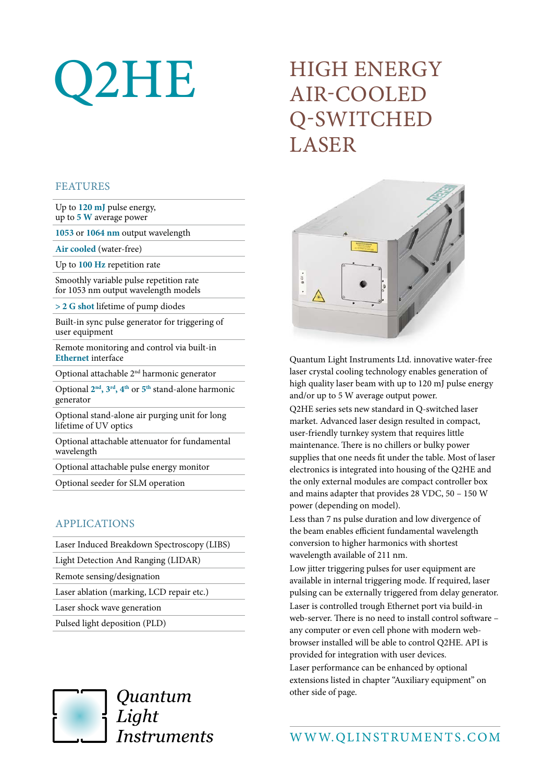# Q2HE

# HIGH ENERGY AIR-COOLED Q-SWITCHED LASER

#### FEATURES

Up to **120 mJ** pulse energy, up to **5 W** average power

**1053** or **1064 nm** output wavelength

**Air cooled** (water-free)

Up to **100 Hz** repetition rate

Smoothly variable pulse repetition rate for 1053 nm output wavelength models

**> 2 G shot** lifetime of pump diodes

Built-in sync pulse generator for triggering of user equipment

Remote monitoring and control via built-in **Ethernet** interface

Optional attachable 2nd harmonic generator

Optional **2nd, 3rd, 4th** or **5th** stand-alone harmonic generator

Optional stand-alone air purging unit for long lifetime of UV optics

Optional attachable attenuator for fundamental wavelength

Optional attachable pulse energy monitor

Optional seeder for SLM operation

## APPLICATIONS

| Laser Induced Breakdown Spectroscopy (LIBS) |
|---------------------------------------------|
| Light Detection And Ranging (LIDAR)         |
| Remote sensing/designation                  |
| Laser ablation (marking, LCD repair etc.)   |
| Laser shock wave generation                 |
| Pulsed light deposition (PLD)               |
|                                             |



Quantum Light Instruments



Quantum Light Instruments Ltd. innovative water-free laser crystal cooling technology enables generation of high quality laser beam with up to 120 mJ pulse energy and/or up to 5 W average output power.

Q2HE series sets new standard in Q-switched laser market. Advanced laser design resulted in compact, user-friendly turnkey system that requires little maintenance. There is no chillers or bulky power supplies that one needs fit under the table. Most of laser electronics is integrated into housing of the Q2HE and the only external modules are compact controller box and mains adapter that provides 28 VDC, 50 – 150 W power (depending on model).

Less than 7 ns pulse duration and low divergence of the beam enables efficient fundamental wavelength conversion to higher harmonics with shortest wavelength available of 211 nm.

Low jitter triggering pulses for user equipment are available in internal triggering mode. If required, laser pulsing can be externally triggered from delay generator. Laser is controlled trough Ethernet port via build-in web-server. There is no need to install control software – any computer or even cell phone with modern webbrowser installed will be able to control Q2HE. API is provided for integration with user devices. Laser performance can be enhanced by optional extensions listed in chapter "Auxiliary equipment" on other side of page.